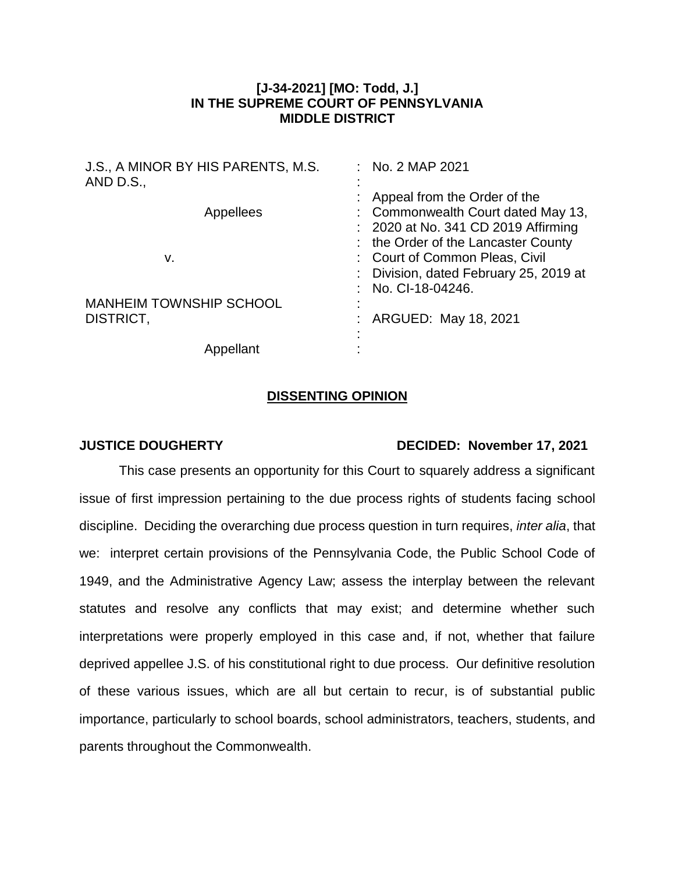## **[J-34-2021] [MO: Todd, J.] IN THE SUPREME COURT OF PENNSYLVANIA MIDDLE DISTRICT**

| J.S., A MINOR BY HIS PARENTS, M.S.<br>AND D.S., | : No. 2 MAP 2021                                                                                                                |
|-------------------------------------------------|---------------------------------------------------------------------------------------------------------------------------------|
| Appellees                                       | Appeal from the Order of the<br>: Commonwealth Court dated May 13,<br>: 2020 at No. 341 CD 2019 Affirming                       |
| v.                                              | the Order of the Lancaster County<br>: Court of Common Pleas, Civil<br>Division, dated February 25, 2019 at<br>No. CI-18-04246. |
| <b>MANHEIM TOWNSHIP SCHOOL</b><br>DISTRICT,     | ARGUED: May 18, 2021                                                                                                            |
| Appellant                                       |                                                                                                                                 |

## **DISSENTING OPINION**

## **JUSTICE DOUGHERTY DECIDED: November 17, 2021**

This case presents an opportunity for this Court to squarely address a significant issue of first impression pertaining to the due process rights of students facing school discipline. Deciding the overarching due process question in turn requires, *inter alia*, that we: interpret certain provisions of the Pennsylvania Code, the Public School Code of 1949, and the Administrative Agency Law; assess the interplay between the relevant statutes and resolve any conflicts that may exist; and determine whether such interpretations were properly employed in this case and, if not, whether that failure deprived appellee J.S. of his constitutional right to due process. Our definitive resolution of these various issues, which are all but certain to recur, is of substantial public importance, particularly to school boards, school administrators, teachers, students, and parents throughout the Commonwealth.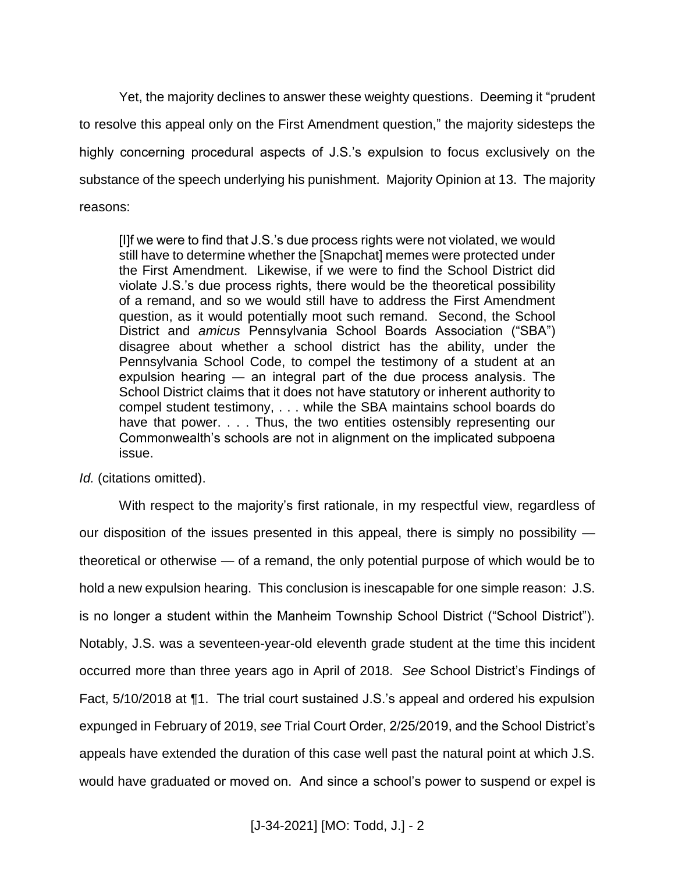Yet, the majority declines to answer these weighty questions. Deeming it "prudent to resolve this appeal only on the First Amendment question," the majority sidesteps the highly concerning procedural aspects of J.S.'s expulsion to focus exclusively on the substance of the speech underlying his punishment. Majority Opinion at 13. The majority reasons:

[I]f we were to find that J.S.'s due process rights were not violated, we would still have to determine whether the [Snapchat] memes were protected under the First Amendment. Likewise, if we were to find the School District did violate J.S.'s due process rights, there would be the theoretical possibility of a remand, and so we would still have to address the First Amendment question, as it would potentially moot such remand. Second, the School District and *amicus* Pennsylvania School Boards Association ("SBA") disagree about whether a school district has the ability, under the Pennsylvania School Code, to compel the testimony of a student at an expulsion hearing ― an integral part of the due process analysis. The School District claims that it does not have statutory or inherent authority to compel student testimony, . . . while the SBA maintains school boards do have that power. . . . Thus, the two entities ostensibly representing our Commonwealth's schools are not in alignment on the implicated subpoena issue.

*Id.* (citations omitted).

With respect to the majority's first rationale, in my respectful view, regardless of our disposition of the issues presented in this appeal, there is simply no possibility theoretical or otherwise — of a remand, the only potential purpose of which would be to hold a new expulsion hearing. This conclusion is inescapable for one simple reason: J.S. is no longer a student within the Manheim Township School District ("School District"). Notably, J.S. was a seventeen-year-old eleventh grade student at the time this incident occurred more than three years ago in April of 2018. *See* School District's Findings of Fact, 5/10/2018 at ¶1. The trial court sustained J.S.'s appeal and ordered his expulsion expunged in February of 2019, *see* Trial Court Order, 2/25/2019, and the School District's appeals have extended the duration of this case well past the natural point at which J.S. would have graduated or moved on. And since a school's power to suspend or expel is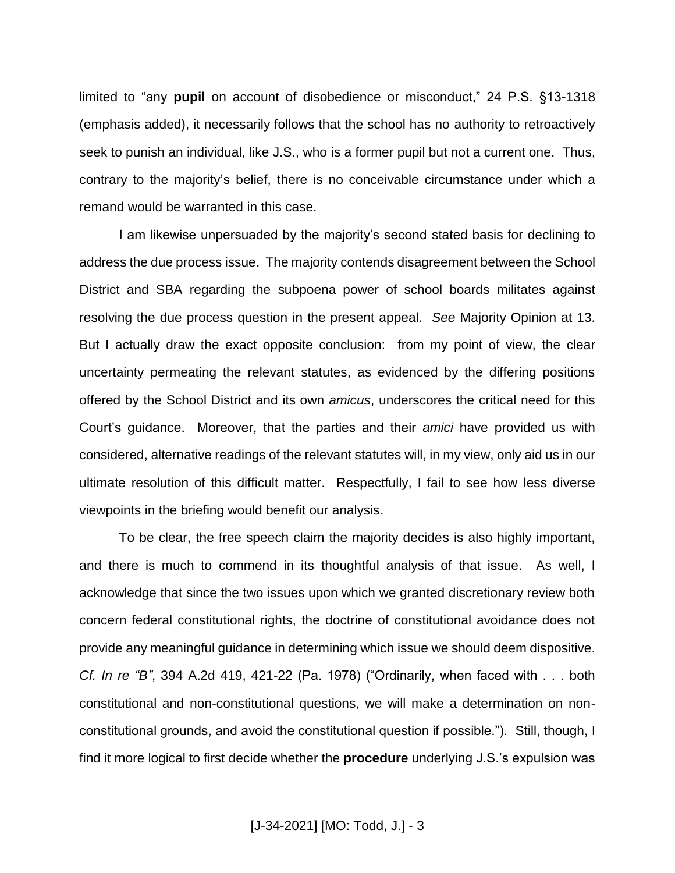limited to "any **pupil** on account of disobedience or misconduct," 24 P.S. §13-1318 (emphasis added), it necessarily follows that the school has no authority to retroactively seek to punish an individual, like J.S., who is a former pupil but not a current one. Thus, contrary to the majority's belief, there is no conceivable circumstance under which a remand would be warranted in this case.

I am likewise unpersuaded by the majority's second stated basis for declining to address the due process issue. The majority contends disagreement between the School District and SBA regarding the subpoena power of school boards militates against resolving the due process question in the present appeal. *See* Majority Opinion at 13. But I actually draw the exact opposite conclusion: from my point of view, the clear uncertainty permeating the relevant statutes, as evidenced by the differing positions offered by the School District and its own *amicus*, underscores the critical need for this Court's guidance. Moreover, that the parties and their *amici* have provided us with considered, alternative readings of the relevant statutes will, in my view, only aid us in our ultimate resolution of this difficult matter. Respectfully, I fail to see how less diverse viewpoints in the briefing would benefit our analysis.

To be clear, the free speech claim the majority decides is also highly important, and there is much to commend in its thoughtful analysis of that issue. As well, I acknowledge that since the two issues upon which we granted discretionary review both concern federal constitutional rights, the doctrine of constitutional avoidance does not provide any meaningful guidance in determining which issue we should deem dispositive. *Cf. In re "B"*, 394 A.2d 419, 421-22 (Pa. 1978) ("Ordinarily, when faced with . . . both constitutional and non-constitutional questions, we will make a determination on nonconstitutional grounds, and avoid the constitutional question if possible."). Still, though, I find it more logical to first decide whether the **procedure** underlying J.S.'s expulsion was